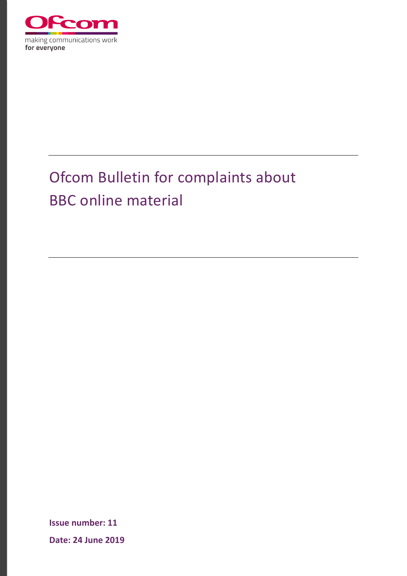

# Ofcom Bulletin for complaints about BBC online material

**Issue number: 11 Date: 24 June 2019**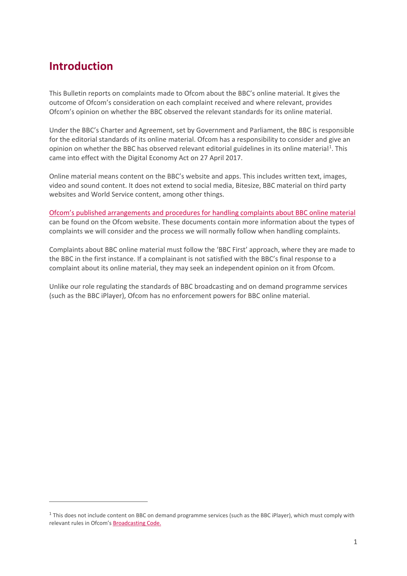## **Introduction**

**.** 

This Bulletin reports on complaints made to Ofcom about the BBC's online material. It gives the outcome of Ofcom's consideration on each complaint received and where relevant, provides Ofcom's opinion on whether the BBC observed the relevant standards for its online material.

Under the BBC's Charter and Agreement, set by Government and Parliament, the BBC is responsible for the editorial standards of its online material. Ofcom has a responsibility to consider and give an opinion on whether the BBC has observed relevant editorial guidelines in its online material<sup>[1](#page-1-0)</sup>. This came into effect with the Digital Economy Act on 27 April 2017.

Online material means content on the BBC's website and apps. This includes written text, images, video and sound content. It does not extend to social media, Bitesize, BBC material on third party websites and World Service content, among other things.

[Ofcom's published arrangements and procedures for handling complaints about BBC online material](https://www.ofcom.org.uk/consultations-and-statements/ofcom-and-the-bbc/bbc-online-material) can be found on the Ofcom website. These documents contain more information about the types of complaints we will consider and the process we will normally follow when handling complaints.

Complaints about BBC online material must follow the 'BBC First' approach, where they are made to the BBC in the first instance. If a complainant is not satisfied with the BBC's final response to a complaint about its online material, they may seek an independent opinion on it from Ofcom.

Unlike our role regulating the standards of BBC broadcasting and on demand programme services (such as the BBC iPlayer), Ofcom has no enforcement powers for BBC online material.

<span id="page-1-0"></span> $1$  This does not include content on BBC on demand programme services (such as the BBC iPlayer), which must comply with relevant rules in Ofcom'[s Broadcasting Code.](https://www.ofcom.org.uk/tv-radio-and-on-demand/broadcast-codes/broadcast-code)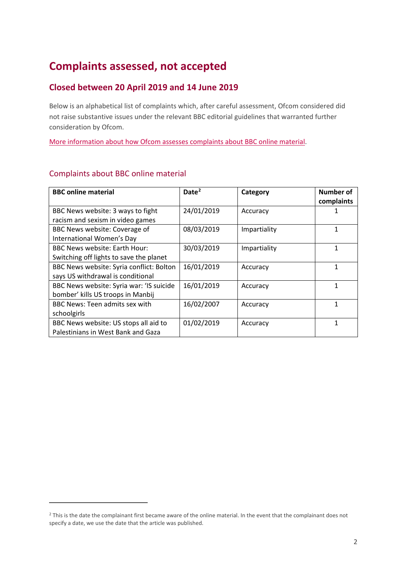## **Complaints assessed, not accepted**

## **Closed between 20 April 2019 and 14 June 2019**

Below is an alphabetical list of complaints which, after careful assessment, Ofcom considered did not raise substantive issues under the relevant BBC editorial guidelines that warranted further consideration by Ofcom.

[More information about how Ofcom assesses complaints about BBC online material.](https://www.ofcom.org.uk/__data/assets/pdf_file/0022/101893/bbc-online-procedures.pdf)

| <b>BBC online material</b>               | Date <sup>2</sup> | Category     | <b>Number of</b><br>complaints |
|------------------------------------------|-------------------|--------------|--------------------------------|
| BBC News website: 3 ways to fight        | 24/01/2019        | Accuracy     |                                |
| racism and sexism in video games         |                   |              |                                |
| BBC News website: Coverage of            | 08/03/2019        | Impartiality |                                |
| International Women's Day                |                   |              |                                |
| <b>BBC News website: Earth Hour:</b>     | 30/03/2019        | Impartiality | 1                              |
| Switching off lights to save the planet  |                   |              |                                |
| BBC News website: Syria conflict: Bolton | 16/01/2019        | Accuracy     | 1                              |
| says US withdrawal is conditional        |                   |              |                                |
| BBC News website: Syria war: 'IS suicide | 16/01/2019        | Accuracy     | 1                              |
| bomber' kills US troops in Manbij        |                   |              |                                |
| BBC News: Teen admits sex with           | 16/02/2007        | Accuracy     |                                |
| schoolgirls                              |                   |              |                                |
| BBC News website: US stops all aid to    | 01/02/2019        | Accuracy     |                                |
| Palestinians in West Bank and Gaza       |                   |              |                                |

#### Complaints about BBC online material

 $\overline{a}$ 

<span id="page-2-0"></span><sup>&</sup>lt;sup>2</sup> This is the date the complainant first became aware of the online material. In the event that the complainant does not specify a date, we use the date that the article was published.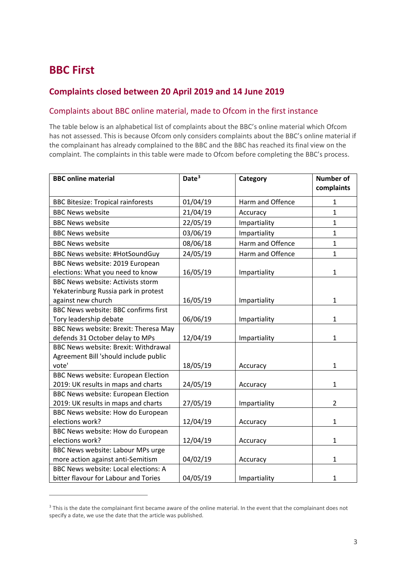## **BBC First**

 $\overline{a}$ 

### **Complaints closed between 20 April 2019 and 14 June 2019**

#### Complaints about BBC online material, made to Ofcom in the first instance

The table below is an alphabetical list of complaints about the BBC's online material which Ofcom has not assessed. This is because Ofcom only considers complaints about the BBC's online material if the complainant has already complained to the BBC and the BBC has reached its final view on the complaint. The complaints in this table were made to Ofcom before completing the BBC's process.

| <b>BBC online material</b>                  | Date <sup>3</sup> | Category         | <b>Number of</b><br>complaints |
|---------------------------------------------|-------------------|------------------|--------------------------------|
| <b>BBC Bitesize: Tropical rainforests</b>   | 01/04/19          | Harm and Offence | $\mathbf{1}$                   |
| <b>BBC News website</b>                     | 21/04/19          | Accuracy         | $\mathbf{1}$                   |
| <b>BBC News website</b>                     | 22/05/19          | Impartiality     | $\mathbf{1}$                   |
| <b>BBC News website</b>                     | 03/06/19          | Impartiality     | $\mathbf{1}$                   |
| <b>BBC News website</b>                     | 08/06/18          | Harm and Offence | $\mathbf{1}$                   |
| <b>BBC News website: #HotSoundGuy</b>       | 24/05/19          | Harm and Offence | $\mathbf{1}$                   |
| BBC News website: 2019 European             |                   |                  |                                |
| elections: What you need to know            | 16/05/19          | Impartiality     | $\mathbf{1}$                   |
| <b>BBC News website: Activists storm</b>    |                   |                  |                                |
| Yekaterinburg Russia park in protest        |                   |                  |                                |
| against new church                          | 16/05/19          | Impartiality     | $\mathbf{1}$                   |
| BBC News website: BBC confirms first        |                   |                  |                                |
| Tory leadership debate                      | 06/06/19          | Impartiality     | $\mathbf{1}$                   |
| BBC News website: Brexit: Theresa May       |                   |                  |                                |
| defends 31 October delay to MPs             | 12/04/19          | Impartiality     | $\mathbf{1}$                   |
| <b>BBC News website: Brexit: Withdrawal</b> |                   |                  |                                |
| Agreement Bill 'should include public       |                   |                  |                                |
| vote'                                       | 18/05/19          | Accuracy         | $\mathbf{1}$                   |
| <b>BBC News website: European Election</b>  |                   |                  |                                |
| 2019: UK results in maps and charts         | 24/05/19          | Accuracy         | $\mathbf{1}$                   |
| <b>BBC News website: European Election</b>  |                   |                  |                                |
| 2019: UK results in maps and charts         | 27/05/19          | Impartiality     | $\overline{2}$                 |
| BBC News website: How do European           |                   |                  |                                |
| elections work?                             | 12/04/19          | Accuracy         | $\mathbf{1}$                   |
| BBC News website: How do European           |                   |                  |                                |
| elections work?                             | 12/04/19          | Accuracy         | $\mathbf{1}$                   |
| BBC News website: Labour MPs urge           |                   |                  |                                |
| more action against anti-Semitism           | 04/02/19          | Accuracy         | $\mathbf{1}$                   |
| BBC News website: Local elections: A        |                   |                  |                                |
| bitter flavour for Labour and Tories        | 04/05/19          | Impartiality     | $\mathbf{1}$                   |

<span id="page-3-0"></span><sup>&</sup>lt;sup>3</sup> This is the date the complainant first became aware of the online material. In the event that the complainant does not specify a date, we use the date that the article was published.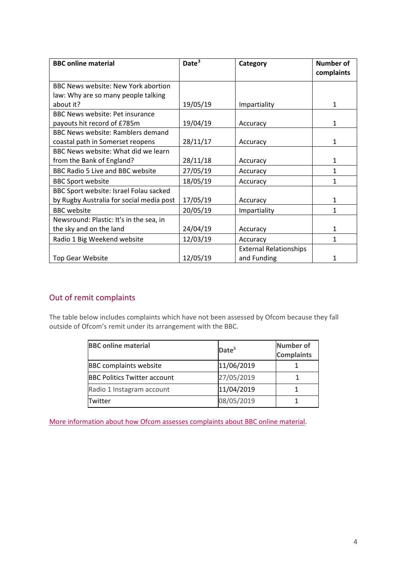| <b>BBC online material</b>               | Date $3$ | Category                      | Number of<br>complaints |
|------------------------------------------|----------|-------------------------------|-------------------------|
| BBC News website: New York abortion      |          |                               |                         |
| law: Why are so many people talking      |          |                               |                         |
| about it?                                | 19/05/19 | Impartiality                  | 1                       |
| BBC News website: Pet insurance          |          |                               |                         |
| payouts hit record of £785m              | 19/04/19 | Accuracy                      | 1                       |
| <b>BBC News website: Ramblers demand</b> |          |                               |                         |
| coastal path in Somerset reopens         | 28/11/17 | Accuracy                      | 1                       |
| BBC News website: What did we learn      |          |                               |                         |
| from the Bank of England?                | 28/11/18 | Accuracy                      | 1                       |
| <b>BBC Radio 5 Live and BBC website</b>  | 27/05/19 | Accuracy                      | 1                       |
| <b>BBC Sport website</b>                 | 18/05/19 | Accuracy                      | 1                       |
| BBC Sport website: Israel Folau sacked   |          |                               |                         |
| by Rugby Australia for social media post | 17/05/19 | Accuracy                      | 1                       |
| <b>BBC</b> website                       | 20/05/19 | Impartiality                  | 1                       |
| Newsround: Plastic: It's in the sea, in  |          |                               |                         |
| the sky and on the land                  | 24/04/19 | Accuracy                      | 1                       |
| Radio 1 Big Weekend website              | 12/03/19 | Accuracy                      | 1                       |
|                                          |          | <b>External Relationships</b> |                         |
| Top Gear Website                         | 12/05/19 | and Funding                   | 1                       |

## Out of remit complaints

The table below includes complaints which have not been assessed by Ofcom because they fall outside of Ofcom's remit under its arrangement with the BBC.

| <b>BBC online material</b>          | Date <sup>5</sup> | <b>Number of</b><br><b>Complaints</b> |
|-------------------------------------|-------------------|---------------------------------------|
| <b>BBC</b> complaints website       | 11/06/2019        |                                       |
| <b>BBC Politics Twitter account</b> | 27/05/2019        |                                       |
| Radio 1 Instagram account           | 11/04/2019        |                                       |
| Twitter                             | 08/05/2019        |                                       |

[More information about how Ofcom assesses complaints about BBC online material.](https://www.ofcom.org.uk/__data/assets/pdf_file/0022/101893/bbc-online-procedures.pdf)